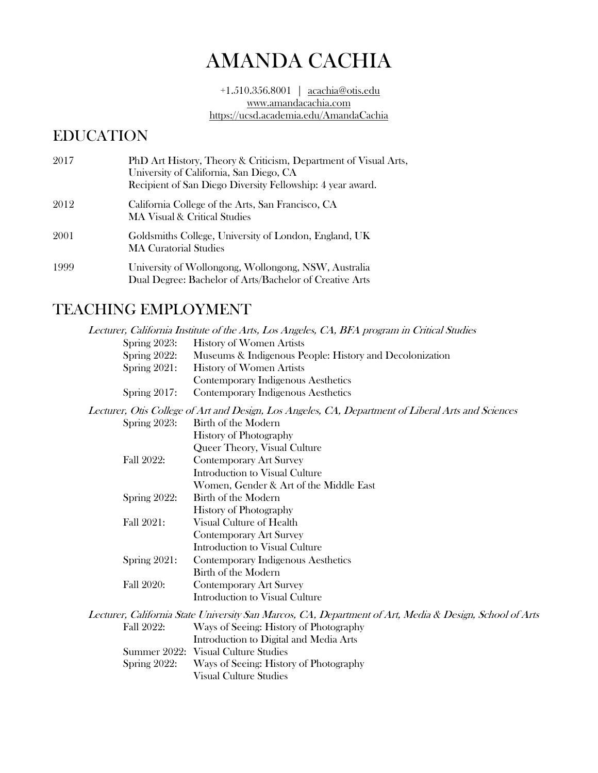# AMANDA CACHIA

+1.510.356.8001 | acachia@otis.edu [www.amandacachia.com](http://www.amandacachia.com/) https://ucsd.academia.edu/AmandaCachia

### EDUCATION

| 2017 | PhD Art History, Theory & Criticism, Department of Visual Arts,<br>University of California, San Diego, CA<br>Recipient of San Diego Diversity Fellowship: 4 year award. |
|------|--------------------------------------------------------------------------------------------------------------------------------------------------------------------------|
| 2012 | California College of the Arts, San Francisco, CA<br>MA Visual & Critical Studies                                                                                        |
| 2001 | Goldsmiths College, University of London, England, UK<br><b>MA Curatorial Studies</b>                                                                                    |
| 1999 | University of Wollongong, Wollongong, NSW, Australia<br>Dual Degree: Bachelor of Arts/Bachelor of Creative Arts                                                          |

## TEACHING EMPLOYMENT

|                 | Lecturer, California Institute of the Arts, Los Angeles, CA, BFA program in Critical Studies            |
|-----------------|---------------------------------------------------------------------------------------------------------|
| Spring $2023$ : | <b>History of Women Artists</b>                                                                         |
| Spring 2022:    | Museums & Indigenous People: History and Decolonization                                                 |
| Spring $2021$ : | <b>History of Women Artists</b>                                                                         |
|                 | Contemporary Indigenous Aesthetics                                                                      |
| Spring $2017$ : | Contemporary Indigenous Aesthetics                                                                      |
|                 | Lecturer, Otis College of Art and Design, Los Angeles, CA, Department of Liberal Arts and Sciences      |
| Spring 2023:    | Birth of the Modern                                                                                     |
|                 | History of Photography                                                                                  |
|                 | Queer Theory, Visual Culture                                                                            |
| Fall 2022:      | <b>Contemporary Art Survey</b>                                                                          |
|                 | Introduction to Visual Culture                                                                          |
|                 | Women, Gender & Art of the Middle East                                                                  |
| Spring 2022:    | Birth of the Modern                                                                                     |
|                 | <b>History of Photography</b>                                                                           |
| Fall 2021:      | Visual Culture of Health                                                                                |
|                 | <b>Contemporary Art Survey</b>                                                                          |
|                 | Introduction to Visual Culture                                                                          |
| Spring $2021$ : | Contemporary Indigenous Aesthetics                                                                      |
|                 | Birth of the Modern                                                                                     |
| Fall 2020:      | <b>Contemporary Art Survey</b>                                                                          |
|                 | Introduction to Visual Culture                                                                          |
|                 | Lecturer, California State University San Marcos, CA, Department of Art, Media & Design, School of Arts |
| Fall 2022:      | Ways of Seeing: History of Photography                                                                  |
|                 | Introduction to Digital and Media Arts                                                                  |
|                 | Summer 2022: Visual Culture Studies                                                                     |
| Spring 2022:    | Ways of Seeing: History of Photography                                                                  |

Visual Culture Studies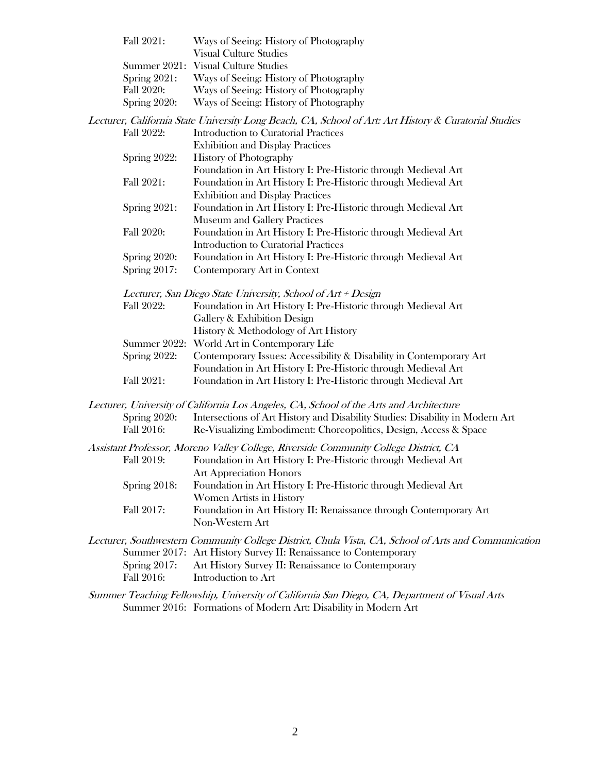| Fall 2021:      | Ways of Seeing: History of Photography |
|-----------------|----------------------------------------|
|                 | <b>Visual Culture Studies</b>          |
|                 | Summer 2021: Visual Culture Studies    |
| Spring $2021$ : | Ways of Seeing: History of Photography |
| Fall 2020:      | Ways of Seeing: History of Photography |
| Spring 2020:    | Ways of Seeing: History of Photography |

Lecturer, California State University Long Beach, CA, School of Art: Art History & Curatorial Studies

| Fall 2022:      | Introduction to Curatorial Practices                           |
|-----------------|----------------------------------------------------------------|
|                 | <b>Exhibition and Display Practices</b>                        |
| Spring 2022:    | <b>History of Photography</b>                                  |
|                 | Foundation in Art History I: Pre-Historic through Medieval Art |
| Fall 2021:      | Foundation in Art History I: Pre-Historic through Medieval Art |
|                 | <b>Exhibition and Display Practices</b>                        |
| Spring $2021$ : | Foundation in Art History I: Pre-Historic through Medieval Art |
|                 | <b>Museum and Gallery Practices</b>                            |
| Fall 2020:      | Foundation in Art History I: Pre-Historic through Medieval Art |
|                 | Introduction to Curatorial Practices                           |
| Spring 2020:    | Foundation in Art History I: Pre-Historic through Medieval Art |
| Spring 2017:    | Contemporary Art in Context                                    |

Lecturer, San Diego State University, School of Art + Design

| Fall 2022: | Foundation in Art History I: Pre-Historic through Medieval Art                   |
|------------|----------------------------------------------------------------------------------|
|            | Gallery & Exhibition Design                                                      |
|            | History & Methodology of Art History                                             |
|            | Summer 2022: World Art in Contemporary Life                                      |
|            | Spring 2022: Contemporary Issues: Accessibility & Disability in Contemporary Art |

Foundation in Art History I: Pre-Historic through Medieval Art Fall 2021: Foundation in Art History I: Pre-Historic through Medieval Art

Lecturer, University of California Los Angeles, CA, School of the Arts and Architecture Spring 2020: Intersections of Art History and Disability Studies: Disability in Modern Art Fall 2016: Re-Visualizing Embodiment: Choreopolitics, Design, Access & Space

Assistant Professor, Moreno Valley College, Riverside Community College District, CA Fall 2019: Foundation in Art History I: Pre-Historic through Medieval Art Art Appreciation Honors Spring 2018: Foundation in Art History I: Pre-Historic through Medieval Art Women Artists in History

Fall 2017: Foundation in Art History II: Renaissance through Contemporary Art Non-Western Art

- Lecturer, Southwestern Community College District, Chula Vista, CA, School of Arts and Communication Summer 2017: Art History Survey II: Renaissance to Contemporary Spring 2017: Art History Survey II: Renaissance to Contemporary Fall 2016: Introduction to Art
- Summer Teaching Fellowship, University of California San Diego, CA, Department of Visual Arts Summer 2016: Formations of Modern Art: Disability in Modern Art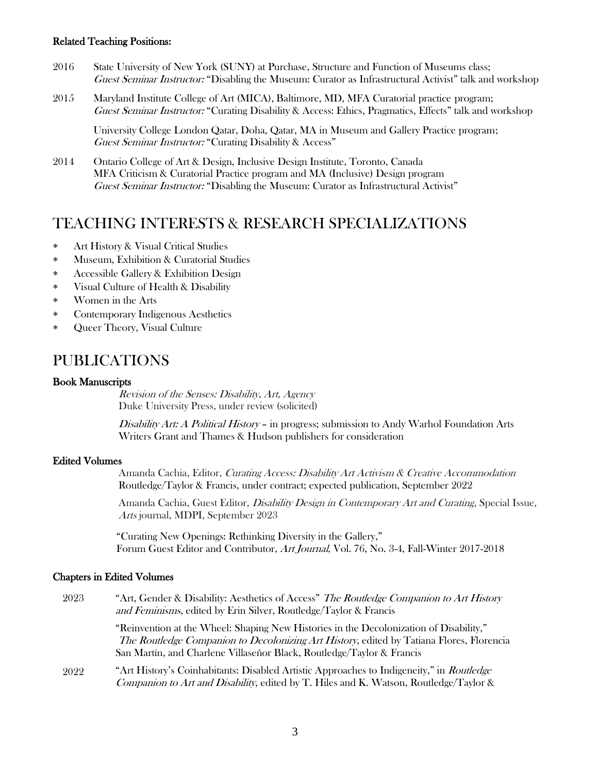#### Related Teaching Positions:

- 2016 State University of New York (SUNY) at Purchase, Structure and Function of Museums class; Guest Seminar Instructor: "Disabling the Museum: Curator as Infrastructural Activist" talk and workshop
- 2015 Maryland Institute College of Art (MICA), Baltimore, MD, MFA Curatorial practice program; Guest Seminar Instructor: "Curating Disability & Access: Ethics, Pragmatics, Effects" talk and workshop

University College London Qatar, Doha, Qatar, MA in Museum and Gallery Practice program; Guest Seminar Instructor: "Curating Disability & Access"

2014 Ontario College of Art & Design, Inclusive Design Institute, Toronto, Canada MFA Criticism & Curatorial Practice program and MA (Inclusive) Design program Guest Seminar Instructor: "Disabling the Museum: Curator as Infrastructural Activist"

#### TEACHING INTERESTS & RESEARCH SPECIALIZATIONS

- Art History & Visual Critical Studies
- Museum, Exhibition & Curatorial Studies
- Accessible Gallery & Exhibition Design
- Visual Culture of Health & Disability
- Women in the Arts
- Contemporary Indigenous Aesthetics
- Queer Theory, Visual Culture

### PUBLICATIONS

#### Book Manuscripts

Revision of the Senses: Disability, Art, Agency Duke University Press, under review (solicited)

Disability Art: A Political History - in progress; submission to Andy Warhol Foundation Arts Writers Grant and Thames & Hudson publishers for consideration

#### Edited Volumes

Amanda Cachia, Editor, Curating Access: Disability Art Activism & Creative Accommodation Routledge/Taylor & Francis, under contract; expected publication, September 2022

Amanda Cachia, Guest Editor, Disability Design in Contemporary Art and Curating, Special Issue, Arts journal, MDPI, September 2023

"Curating New Openings: Rethinking Diversity in the Gallery," Forum Guest Editor and Contributor, Art Journal, Vol. 76, No. 3-4, Fall-Winter 2017-2018

#### Chapters in Edited Volumes

2023 "Art, Gender & Disability: Aesthetics of Access" The Routledge Companion to Art History and Feminisms, edited by Erin Silver, Routledge/Taylor & Francis

> "Reinvention at the Wheel: Shaping New Histories in the Decolonization of Disability," The Routledge Companion to Decolonizing Art History, edited by Tatiana Flores, Florencia San Martín, and Charlene Villaseñor Black, Routledge/Taylor & Francis

2022 "Art History's Coinhabitants: Disabled Artistic Approaches to Indigeneity," in *Routledge* Companion to Art and Disability, edited by T. Hiles and K. Watson, Routledge/Taylor &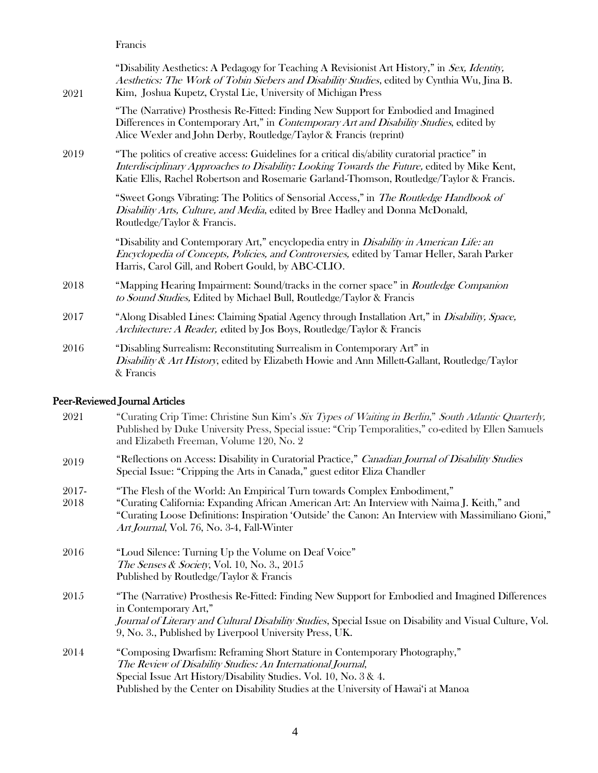Francis

| 2021  | "Disability Aesthetics: A Pedagogy for Teaching A Revisionist Art History," in Sex, Identity,<br>Aesthetics: The Work of Tobin Siebers and Disability Studies, edited by Cynthia Wu, Jina B.<br>Kim, Joshua Kupetz, Crystal Lie, University of Michigan Press                               |
|-------|---------------------------------------------------------------------------------------------------------------------------------------------------------------------------------------------------------------------------------------------------------------------------------------------|
|       | "The (Narrative) Prosthesis Re-Fitted: Finding New Support for Embodied and Imagined<br>Differences in Contemporary Art," in Contemporary Art and Disability Studies, edited by<br>Alice Wexler and John Derby, Routledge/Taylor & Francis (reprint)                                        |
| 2019  | "The politics of creative access: Guidelines for a critical dis/ability curatorial practice" in<br>Interdisciplinary Approaches to Disability: Looking Towards the Future, edited by Mike Kent,<br>Katie Ellis, Rachel Robertson and Rosemarie Garland-Thomson, Routledge/Taylor & Francis. |
|       | "Sweet Gongs Vibrating: The Politics of Sensorial Access," in The Routledge Handbook of<br>Disability Arts, Culture, and Media, edited by Bree Hadley and Donna McDonald,<br>Routledge/Taylor & Francis.                                                                                    |
|       | "Disability and Contemporary Art," encyclopedia entry in <i>Disability in American Life: an</i><br>Encyclopedia of Concepts, Policies, and Controversies, edited by Tamar Heller, Sarah Parker<br>Harris, Carol Gill, and Robert Gould, by ABC-CLIO.                                        |
| 2018  | "Mapping Hearing Impairment: Sound/tracks in the corner space" in <i>Routledge Companion</i><br>to Sound Studies, Edited by Michael Bull, Routledge/Taylor & Francis                                                                                                                        |
| 2017  | "Along Disabled Lines: Claiming Spatial Agency through Installation Art," in <i>Disability, Space,</i><br>Architecture: A Reader, edited by Jos Boys, Routledge/Taylor & Francis                                                                                                            |
| 2016  | "Disabling Surrealism: Reconstituting Surrealism in Contemporary Art" in<br>Disability & Art History, edited by Elizabeth Howie and Ann Millett-Gallant, Routledge/Taylor<br>& Francis                                                                                                      |
|       | Peer-Reviewed Journal Articles                                                                                                                                                                                                                                                              |
| 2021  | "Curating Crip Time: Christine Sun Kim's Six Types of Waiting in Berlin," South Atlantic Quarterly,<br>Published by Duke University Press, Special issue: "Crip Temporalities," co-edited by Ellen Samuels<br>and Elizabeth Freeman, Volume 120, No. 2                                      |
| 2019  | "Reflections on Access: Disability in Curatorial Practice," Canadian Journal of Disability Studies<br>Special Issue: "Cripping the Arts in Canada," guest editor Eliza Chandler                                                                                                             |
| 2017- | "The Flesh of the World: An Empirical Turn towards Complex Embodiment."                                                                                                                                                                                                                     |

| $2011 -$ | THE FIESH OF the WOHG. THE EMphilear Fulli towards Compiex Empoundent,                               |
|----------|------------------------------------------------------------------------------------------------------|
| 2018     | "Curating California: Expanding African American Art: An Interview with Naima J. Keith," and         |
|          | "Curating Loose Definitions: Inspiration 'Outside' the Canon: An Interview with Massimiliano Gioni," |
|          | <i>Art Journal</i> , Vol. 76, No. 3-4, Fall-Winter                                                   |

- 2016 "Loud Silence: Turning Up the Volume on Deaf Voice" The Senses & Society, Vol. 10, No. 3., 2015 Published by Routledge/Taylor & Francis
- 2015 "The (Narrative) Prosthesis Re-Fitted: Finding New Support for Embodied and Imagined Differences in Contemporary Art," Journal of Literary and Cultural Disability Studies, Special Issue on Disability and Visual Culture, Vol. 9, No. 3., Published by Liverpool University Press, UK.
- 2014 "Composing Dwarfism: Reframing Short Stature in Contemporary Photography," The Review of Disability Studies: An International Journal, Special Issue Art History/Disability Studies. Vol. 10, No. 3 & 4. Published by the Center on Disability Studies at the University of Hawai'i at Manoa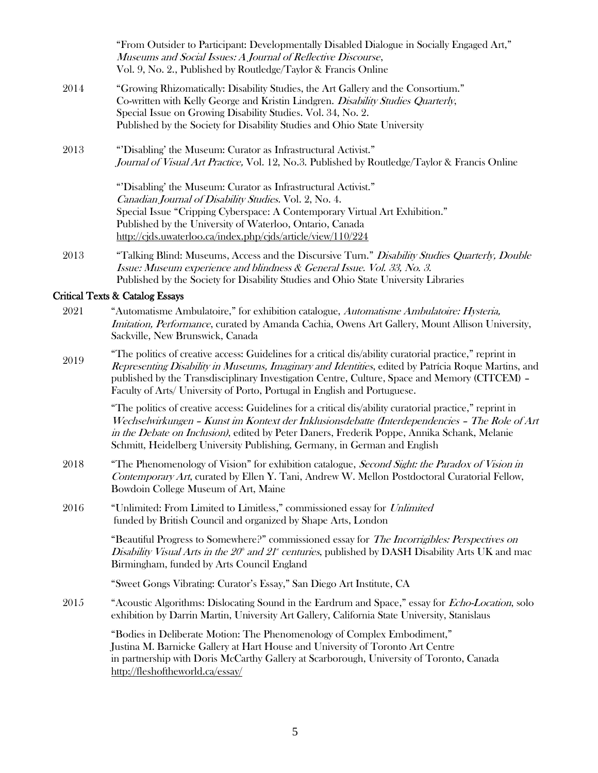"From Outsider to Participant: Developmentally Disabled Dialogue in Socially Engaged Art," Museums and Social Issues: A Journal of Reflective Discourse, Vol. 9, No. 2., Published by Routledge/Taylor & Francis Online

- 2014 "Growing Rhizomatically: Disability Studies, the Art Gallery and the Consortium." Co-written with Kelly George and Kristin Lindgren. Disability Studies Quarterly, Special Issue on Growing Disability Studies. Vol. 34, No. 2. Published by the Society for Disability Studies and Ohio State University
- 2013 "'Disabling' the Museum: Curator as Infrastructural Activist." Journal of Visual Art Practice, Vol. 12, No.3. Published by Routledge/Taylor & Francis Online

"'Disabling' the Museum: Curator as Infrastructural Activist." Canadian Journal of Disability Studies. Vol. 2, No. 4. Special Issue "Cripping Cyberspace: A Contemporary Virtual Art Exhibition." Published by the University of Waterloo, Ontario, Canada <http://cjds.uwaterloo.ca/index.php/cjds/article/view/110/224>

2013 "Talking Blind: Museums, Access and the Discursive Turn." Disability Studies Quarterly, Double Issue: Museum experience and blindness & General Issue. Vol. 33, No. 3. Published by the Society for Disability Studies and Ohio State University Libraries

#### Critical Texts & Catalog Essays

- 2021 "Automatisme Ambulatoire," for exhibition catalogue, Automatisme Ambulatoire: Hysteria, Imitation, Performance, curated by Amanda Cachia, Owens Art Gallery, Mount Allison University, Sackville, New Brunswick, Canada
- 2019 "The politics of creative access: Guidelines for a critical dis/ability curatorial practice," reprint in Representing Disability in Museums, Imaginary and Identities, edited by Patrícia Roque Martins, and published by the Transdisciplinary Investigation Centre, Culture, Space and Memory (CITCEM) – Faculty of Arts/ University of Porto, Portugal in English and Portuguese.

"The politics of creative access: Guidelines for a critical dis/ability curatorial practice," reprint in Wechselwirkungen – Kunst im Kontext der Inklusionsdebatte (Interdependencies – The Role of Art in the Debate on Inclusion), edited by Peter Daners, Frederik Poppe, Annika Schank, Melanie Schmitt, Heidelberg University Publishing, Germany, in German and English

- 2018 "The Phenomenology of Vision" for exhibition catalogue, *Second Sight: the Paradox of Vision in* Contemporary Art, curated by Ellen Y. Tani, Andrew W. Mellon Postdoctoral Curatorial Fellow, Bowdoin College Museum of Art, Maine
- 2016 "Unlimited: From Limited to Limitless," commissioned essay for Unlimited funded by British Council and organized by Shape Arts, London

"Beautiful Progress to Somewhere?" commissioned essay for *The Incorrigibles: Perspectives on* Disability Visual Arts in the  $20^{\circ}$  and  $21^{\circ}$  centuries, published by DASH Disability Arts UK and mac Birmingham, funded by Arts Council England

"Sweet Gongs Vibrating: Curator's Essay," San Diego Art Institute, CA

2015 "Acoustic Algorithms: Dislocating Sound in the Eardrum and Space," essay for *Echo-Location*, solo exhibition by Darrin Martin, University Art Gallery, California State University, Stanislaus

> "Bodies in Deliberate Motion: The Phenomenology of Complex Embodiment," Justina M. Barnicke Gallery at Hart House and University of Toronto Art Centre in partnership with Doris McCarthy Gallery at Scarborough, University of Toronto, Canada <http://fleshoftheworld.ca/essay/>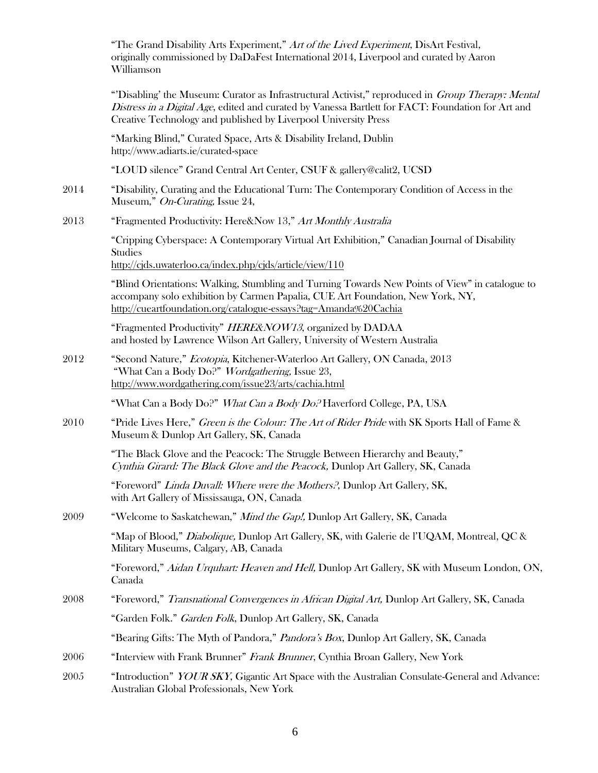|      | "The Grand Disability Arts Experiment," Art of the Lived Experiment, DisArt Festival,<br>originally commissioned by DaDaFest International 2014, Liverpool and curated by Aaron<br>Williamson                                                                                     |
|------|-----------------------------------------------------------------------------------------------------------------------------------------------------------------------------------------------------------------------------------------------------------------------------------|
|      | "Disabling' the Museum: Curator as Infrastructural Activist," reproduced in <i>Group Therapy: Mental</i><br>Distress in a Digital Age, edited and curated by Vanessa Bartlett for FACT: Foundation for Art and<br>Creative Technology and published by Liverpool University Press |
|      | "Marking Blind," Curated Space, Arts & Disability Ireland, Dublin<br>http://www.adiarts.ie/curated-space                                                                                                                                                                          |
|      | "LOUD silence" Grand Central Art Center, CSUF & gallery@calit2, UCSD                                                                                                                                                                                                              |
| 2014 | "Disability, Curating and the Educational Turn: The Contemporary Condition of Access in the<br>Museum," On-Curating, Issue 24,                                                                                                                                                    |
| 2013 | "Fragmented Productivity: Here&Now 13," Art Monthly Australia                                                                                                                                                                                                                     |
|      | "Cripping Cyberspace: A Contemporary Virtual Art Exhibition," Canadian Journal of Disability<br>Studies                                                                                                                                                                           |
|      | http://cjds.uwaterloo.ca/index.php/cjds/article/view/110                                                                                                                                                                                                                          |
|      | "Blind Orientations: Walking, Stumbling and Turning Towards New Points of View" in catalogue to<br>accompany solo exhibition by Carmen Papalia, CUE Art Foundation, New York, NY,<br>http://cueartfoundation.org/catalogue-essays?tag=Amanda%20Cachia                             |
|      | "Fragmented Productivity" HERE&NOW13, organized by DADAA<br>and hosted by Lawrence Wilson Art Gallery, University of Western Australia                                                                                                                                            |
| 2012 | "Second Nature," Ecotopia, Kitchener-Waterloo Art Gallery, ON Canada, 2013<br>"What Can a Body Do?" <i>Wordgathering</i> , Issue 23,<br>http://www.wordgathering.com/issue23/arts/cachia.html                                                                                     |
|      | "What Can a Body Do?" What Can a Body Do? Haverford College, PA, USA                                                                                                                                                                                                              |
| 2010 | "Pride Lives Here," Green is the Colour: The Art of Rider Pride with SK Sports Hall of Fame &<br>Museum & Dunlop Art Gallery, SK, Canada                                                                                                                                          |
|      | "The Black Glove and the Peacock: The Struggle Between Hierarchy and Beauty,"<br>Cynthia Girard: The Black Glove and the Peacock, Dunlop Art Gallery, SK, Canada                                                                                                                  |
|      | "Foreword" Linda Duvall: Where were the Mothers?, Dunlop Art Gallery, SK,<br>with Art Gallery of Mississauga, ON, Canada                                                                                                                                                          |
| 2009 | "Welcome to Saskatchewan," Mind the Gap!, Dunlop Art Gallery, SK, Canada                                                                                                                                                                                                          |
|      | "Map of Blood," Diabolique, Dunlop Art Gallery, SK, with Galerie de l'UQAM, Montreal, QC &<br>Military Museums, Calgary, AB, Canada                                                                                                                                               |
|      | "Foreword," Aidan Urquhart: Heaven and Hell, Dunlop Art Gallery, SK with Museum London, ON,<br>Canada                                                                                                                                                                             |
| 2008 | "Foreword," Transnational Convergences in African Digital Art, Dunlop Art Gallery, SK, Canada                                                                                                                                                                                     |
|      | "Garden Folk." Garden Folk, Dunlop Art Gallery, SK, Canada                                                                                                                                                                                                                        |
|      | "Bearing Gifts: The Myth of Pandora," Pandora's Box, Dunlop Art Gallery, SK, Canada                                                                                                                                                                                               |
| 2006 | "Interview with Frank Brunner" Frank Brunner, Cynthia Broan Gallery, New York                                                                                                                                                                                                     |
| 2005 | "Introduction" YOUR SKY, Gigantic Art Space with the Australian Consulate-General and Advance:<br>Australian Global Professionals, New York                                                                                                                                       |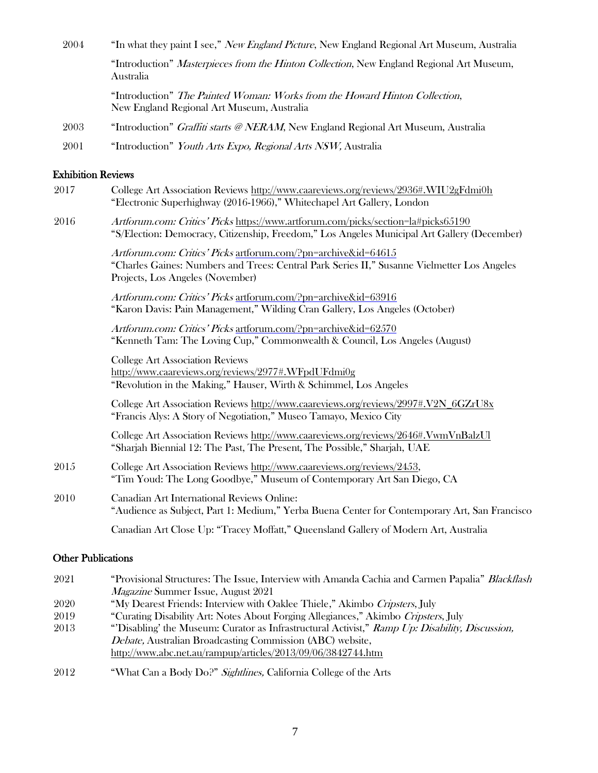| 2004                      | "In what they paint I see," <i>New England Picture</i> , New England Regional Art Museum, Australia                                                                                               |
|---------------------------|---------------------------------------------------------------------------------------------------------------------------------------------------------------------------------------------------|
|                           | "Introduction" Masterpieces from the Hinton Collection, New England Regional Art Museum,<br>Australia                                                                                             |
|                           | "Introduction" The Painted Woman: Works from the Howard Hinton Collection,<br>New England Regional Art Museum, Australia                                                                          |
| 2003                      | "Introduction" <i>Graffiti starts @NERAM</i> , New England Regional Art Museum, Australia                                                                                                         |
| 2001                      | "Introduction" Youth Arts Expo, Regional Arts NSW, Australia                                                                                                                                      |
| <b>Exhibition Reviews</b> |                                                                                                                                                                                                   |
| 2017                      | College Art Association Reviews http://www.caareviews.org/reviews/2936#.WIU2gFdmi0h<br>"Electronic Superhighway (2016-1966)," Whitechapel Art Gallery, London                                     |
| 2016                      | Artforum.com: Critics' Picks https://www.artforum.com/picks/section=la#picks65190<br>"S/Election: Democracy, Citizenship, Freedom," Los Angeles Municipal Art Gallery (December)                  |
|                           | Artforum.com: Critics' Picks artforum.com/?pn=archive&id=64615<br>"Charles Gaines: Numbers and Trees: Central Park Series II," Susanne Vielmetter Los Angeles<br>Projects, Los Angeles (November) |
|                           | Artforum.com: Critics' Picks artforum.com/?pn=archive&id=63916<br>"Karon Davis: Pain Management," Wilding Cran Gallery, Los Angeles (October)                                                     |
|                           | Artforum.com: Critics' Picks artforum.com/?pn=archive&id=62570<br>"Kenneth Tam: The Loving Cup," Commonwealth & Council, Los Angeles (August)                                                     |
|                           | <b>College Art Association Reviews</b><br>http://www.caareviews.org/reviews/2977#.WFpdUFdmi0g<br>"Revolution in the Making," Hauser, Wirth & Schimmel, Los Angeles                                |
|                           | College Art Association Reviews http://www.caareviews.org/reviews/2997#.V2N_6GZrU8x<br>"Francis Alys: A Story of Negotiation," Museo Tamayo, Mexico City                                          |
|                           | the contract of the contract of the contract of the contract of the contract of the contract of the contract of<br>$\sim$ $\sim$ $\sim$ $\sim$ $\sim$ $\sim$                                      |

College Art Association Review[s http://www.caareviews.org/reviews/2646#.VwmVnBalzUl](http://www.caareviews.org/reviews/2646#.VwmVnBalzUl) "Sharjah Biennial 12: The Past, The Present, The Possible," Sharjah, UAE

- 2015 College Art Association Review[s http://www.caareviews.org/reviews/2453,](http://www.caareviews.org/reviews/2453) "Tim Youd: The Long Goodbye," Museum of Contemporary Art San Diego, CA
- 2010 Canadian Art International Reviews Online: "Audience as Subject, Part 1: Medium," Yerba Buena Center for Contemporary Art, San Francisco

Canadian Art Close Up: "Tracey Moffatt," Queensland Gallery of Modern Art, Australia

#### Other Publications

| 2021 | "Provisional Structures: The Issue, Interview with Amanda Cachia and Carmen Papalia" Blackflash |
|------|-------------------------------------------------------------------------------------------------|
|      | <i>Magazine</i> Summer Issue, August 2021                                                       |
| 2020 | "My Dearest Friends: Interview with Oaklee Thiele," Akimbo Cripsters, July                      |
| 2019 | "Curating Disability Art: Notes About Forging Allegiances," Akimbo Cripsters, July              |
| 2013 | "Disabling' the Museum: Curator as Infrastructural Activist," Ramp Up: Disability, Discussion,  |
|      | <i>Debate, Australian Broadcasting Commission (ABC) website,</i>                                |
|      | http://www.abc.net.au/rampup/articles/2013/09/06/3842744.htm                                    |
|      |                                                                                                 |

2012 "What Can a Body Do?" Sightlines, California College of the Arts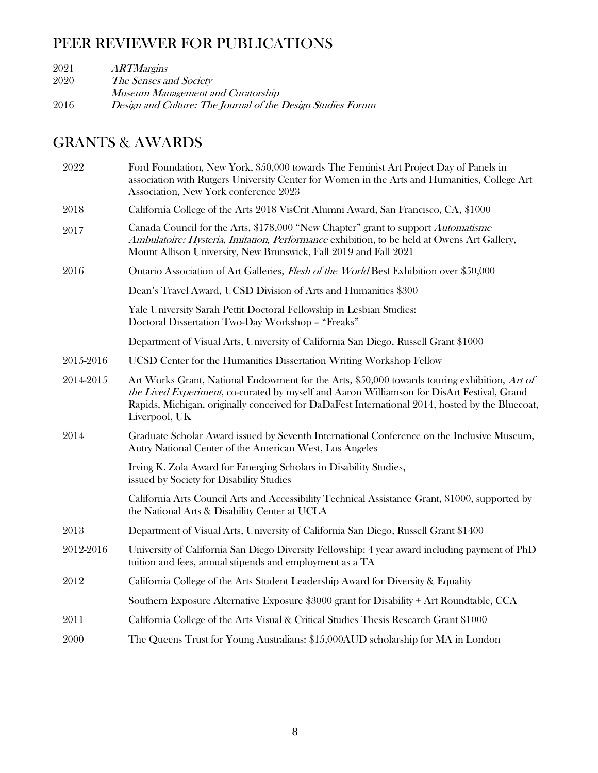## PEER REVIEWER FOR PUBLICATIONS

| 2021 | <i><b>ARTMargins</b></i>                                    |
|------|-------------------------------------------------------------|
| 2020 | The Senses and Society                                      |
|      | Museum Management and Curatorship                           |
| 2016 | Design and Culture: The Journal of the Design Studies Forum |

## GRANTS & AWARDS

| 2022      | Ford Foundation, New York, \$50,000 towards The Feminist Art Project Day of Panels in<br>association with Rutgers University Center for Women in the Arts and Humanities, College Art<br>Association, New York conference 2023                                                                                  |
|-----------|-----------------------------------------------------------------------------------------------------------------------------------------------------------------------------------------------------------------------------------------------------------------------------------------------------------------|
| 2018      | California College of the Arts 2018 VisCrit Alumni Award, San Francisco, CA, \$1000                                                                                                                                                                                                                             |
| 2017      | Canada Council for the Arts, \$178,000 "New Chapter" grant to support Automatisme<br>Ambulatoire: Hysteria, Imitation, Performance exhibition, to be held at Owens Art Gallery,<br>Mount Allison University, New Brunswick, Fall 2019 and Fall 2021                                                             |
| 2016      | Ontario Association of Art Galleries, <i>Flesh of the World</i> Best Exhibition over \$50,000                                                                                                                                                                                                                   |
|           | Dean's Travel Award, UCSD Division of Arts and Humanities \$300                                                                                                                                                                                                                                                 |
|           | Yale University Sarah Pettit Doctoral Fellowship in Lesbian Studies:<br>Doctoral Dissertation Two-Day Workshop - "Freaks"                                                                                                                                                                                       |
|           | Department of Visual Arts, University of California San Diego, Russell Grant \$1000                                                                                                                                                                                                                             |
| 2015-2016 | UCSD Center for the Humanities Dissertation Writing Workshop Fellow                                                                                                                                                                                                                                             |
| 2014-2015 | Art Works Grant, National Endowment for the Arts, \$50,000 towards touring exhibition, Art of<br>the Lived Experiment, co-curated by myself and Aaron Williamson for DisArt Festival, Grand<br>Rapids, Michigan, originally conceived for DaDaFest International 2014, hosted by the Bluecoat,<br>Liverpool, UK |
| 2014      | Graduate Scholar Award issued by Seventh International Conference on the Inclusive Museum,<br>Autry National Center of the American West, Los Angeles                                                                                                                                                           |
|           | Irving K. Zola Award for Emerging Scholars in Disability Studies,<br>issued by Society for Disability Studies                                                                                                                                                                                                   |
|           | California Arts Council Arts and Accessibility Technical Assistance Grant, \$1000, supported by<br>the National Arts & Disability Center at UCLA                                                                                                                                                                |
| 2013      | Department of Visual Arts, University of California San Diego, Russell Grant \$1400                                                                                                                                                                                                                             |
| 2012-2016 | University of California San Diego Diversity Fellowship: 4 year award including payment of PhD<br>tuition and fees, annual stipends and employment as a TA                                                                                                                                                      |
| 2012      | California College of the Arts Student Leadership Award for Diversity & Equality                                                                                                                                                                                                                                |
|           | Southern Exposure Alternative Exposure \$3000 grant for Disability + Art Roundtable, CCA                                                                                                                                                                                                                        |
| 2011      | California College of the Arts Visual & Critical Studies Thesis Research Grant \$1000                                                                                                                                                                                                                           |
| 2000      | The Queens Trust for Young Australians: \$15,000AUD scholarship for MA in London                                                                                                                                                                                                                                |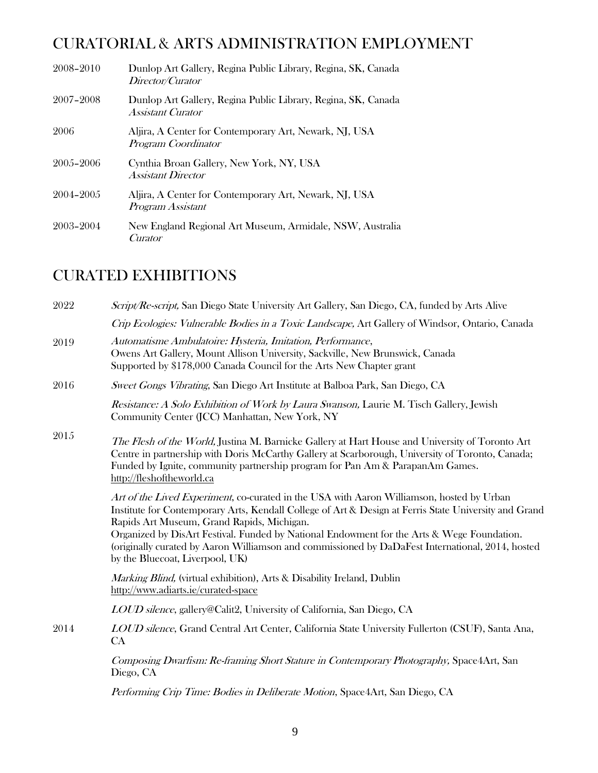## CURATORIAL & ARTS ADMINISTRATION EMPLOYMENT

| 2008-2010 | Dunlop Art Gallery, Regina Public Library, Regina, SK, Canada<br>Director/Curator         |
|-----------|-------------------------------------------------------------------------------------------|
| 2007-2008 | Dunlop Art Gallery, Regina Public Library, Regina, SK, Canada<br><b>Assistant Curator</b> |
| 2006      | Aljira, A Center for Contemporary Art, Newark, NJ, USA<br>Program Coordinator             |
| 2005-2006 | Cynthia Broan Gallery, New York, NY, USA<br><b>Assistant Director</b>                     |
| 2004-2005 | Aljira, A Center for Contemporary Art, Newark, NJ, USA<br>Program Assistant               |
| 2003-2004 | New England Regional Art Museum, Armidale, NSW, Australia<br>Curator                      |

## CURATED EXHIBITIONS

| 2022 | Script/Re-script, San Diego State University Art Gallery, San Diego, CA, funded by Arts Alive                                                                                                                                                                                                                                                                                                                                                                                         |
|------|---------------------------------------------------------------------------------------------------------------------------------------------------------------------------------------------------------------------------------------------------------------------------------------------------------------------------------------------------------------------------------------------------------------------------------------------------------------------------------------|
|      | Crip Ecologies: Vulnerable Bodies in a Toxic Landscape, Art Gallery of Windsor, Ontario, Canada                                                                                                                                                                                                                                                                                                                                                                                       |
| 2019 | Automatisme Ambulatoire: Hysteria, Imitation, Performance,<br>Owens Art Gallery, Mount Allison University, Sackville, New Brunswick, Canada<br>Supported by \$178,000 Canada Council for the Arts New Chapter grant                                                                                                                                                                                                                                                                   |
| 2016 | Sweet Gongs Vibrating, San Diego Art Institute at Balboa Park, San Diego, CA                                                                                                                                                                                                                                                                                                                                                                                                          |
|      | Resistance: A Solo Exhibition of Work by Laura Swanson, Laurie M. Tisch Gallery, Jewish<br>Community Center (JCC) Manhattan, New York, NY                                                                                                                                                                                                                                                                                                                                             |
| 2015 | The Flesh of the World, Justina M. Barnicke Gallery at Hart House and University of Toronto Art<br>Centre in partnership with Doris McCarthy Gallery at Scarborough, University of Toronto, Canada;<br>Funded by Ignite, community partnership program for Pan Am & ParapanAm Games.<br>http://fleshoftheworld.ca                                                                                                                                                                     |
|      | Art of the Lived Experiment, co-curated in the USA with Aaron Williamson, hosted by Urban<br>Institute for Contemporary Arts, Kendall College of Art & Design at Ferris State University and Grand<br>Rapids Art Museum, Grand Rapids, Michigan.<br>Organized by DisArt Festival. Funded by National Endowment for the Arts & Wege Foundation.<br>(originally curated by Aaron Williamson and commissioned by DaDaFest International, 2014, hosted<br>by the Bluecoat, Liverpool, UK) |
|      | Marking Blind, (virtual exhibition), Arts & Disability Ireland, Dublin<br>http://www.adiarts.ie/curated-space                                                                                                                                                                                                                                                                                                                                                                         |
|      | <i>LOUD silence</i> , gallery@Calit2, University of California, San Diego, CA                                                                                                                                                                                                                                                                                                                                                                                                         |
| 2014 | LOUD silence, Grand Central Art Center, California State University Fullerton (CSUF), Santa Ana,<br>CA                                                                                                                                                                                                                                                                                                                                                                                |
|      | Composing Dwarfism: Re-framing Short Stature in Contemporary Photography, Space Ant, San<br>Diego, CA                                                                                                                                                                                                                                                                                                                                                                                 |
|      | Performing Crip Time: Bodies in Deliberate Motion, Space 4Art, San Diego, CA                                                                                                                                                                                                                                                                                                                                                                                                          |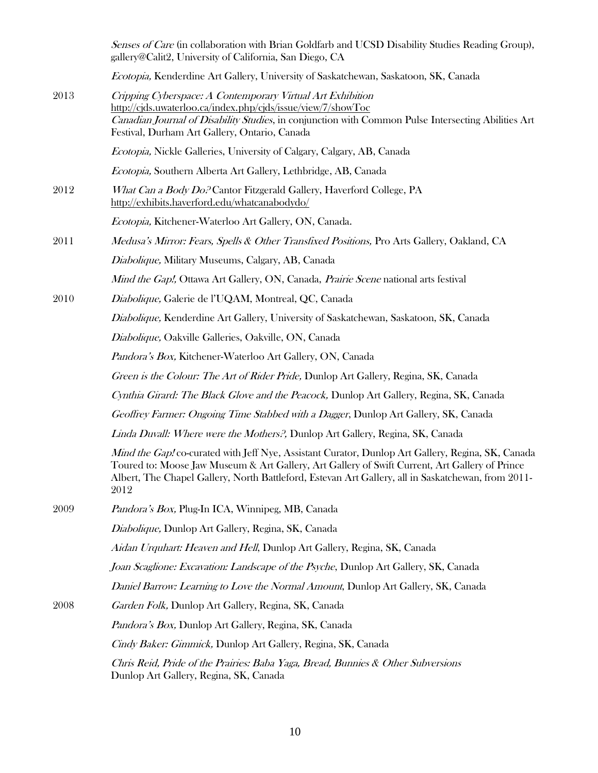|      | Senses of Care (in collaboration with Brian Goldfarb and UCSD Disability Studies Reading Group),<br>gallery@Calit2, University of California, San Diego, CA                                                                                                                                                       |
|------|-------------------------------------------------------------------------------------------------------------------------------------------------------------------------------------------------------------------------------------------------------------------------------------------------------------------|
|      | Ecotopia, Kenderdine Art Gallery, University of Saskatchewan, Saskatoon, SK, Canada                                                                                                                                                                                                                               |
| 2013 | Cripping Cyberspace: A Contemporary Virtual Art Exhibition<br>http://cjds.uwaterloo.ca/index.php/cjds/issue/view/7/showToc<br>Canadian Journal of Disability Studies, in conjunction with Common Pulse Intersecting Abilities Art<br>Festival, Durham Art Gallery, Ontario, Canada                                |
|      | Ecotopia, Nickle Galleries, University of Calgary, Calgary, AB, Canada                                                                                                                                                                                                                                            |
|      | Ecotopia, Southern Alberta Art Gallery, Lethbridge, AB, Canada                                                                                                                                                                                                                                                    |
| 2012 | What Can a Body Do. <sup>2</sup> Cantor Fitzgerald Gallery, Haverford College, PA<br>http://exhibits.haverford.edu/whatcanabodydo/                                                                                                                                                                                |
|      | Ecotopia, Kitchener-Waterloo Art Gallery, ON, Canada.                                                                                                                                                                                                                                                             |
| 2011 | Medusa's Mirror: Fears, Spells & Other Transfixed Positions, Pro Arts Gallery, Oakland, CA                                                                                                                                                                                                                        |
|      | Diabolique, Military Museums, Calgary, AB, Canada                                                                                                                                                                                                                                                                 |
|      | Mind the Gap!, Ottawa Art Gallery, ON, Canada, Prairie Scene national arts festival                                                                                                                                                                                                                               |
| 2010 | Diabolique, Galerie de l'UQAM, Montreal, QC, Canada                                                                                                                                                                                                                                                               |
|      | Diabolique, Kenderdine Art Gallery, University of Saskatchewan, Saskatoon, SK, Canada                                                                                                                                                                                                                             |
|      | Diabolique, Oakville Galleries, Oakville, ON, Canada                                                                                                                                                                                                                                                              |
|      | Pandora's Box, Kitchener-Waterloo Art Gallery, ON, Canada                                                                                                                                                                                                                                                         |
|      | Green is the Colour: The Art of Rider Pride, Dunlop Art Gallery, Regina, SK, Canada                                                                                                                                                                                                                               |
|      | Cynthia Girard: The Black Glove and the Peacock, Dunlop Art Gallery, Regina, SK, Canada                                                                                                                                                                                                                           |
|      | Geoffrey Farmer: Ongoing Time Stabbed with a Dagger, Dunlop Art Gallery, SK, Canada                                                                                                                                                                                                                               |
|      | Linda Duvall: Where were the Mothers?, Dunlop Art Gallery, Regina, SK, Canada                                                                                                                                                                                                                                     |
|      | Mind the Gap! co-curated with Jeff Nye, Assistant Curator, Dunlop Art Gallery, Regina, SK, Canada<br>Toured to: Moose Jaw Museum & Art Gallery, Art Gallery of Swift Current, Art Gallery of Prince<br>Albert, The Chapel Gallery, North Battleford, Estevan Art Gallery, all in Saskatchewan, from 2011-<br>2012 |
| 2009 | Pandora's Box, Plug-In ICA, Winnipeg, MB, Canada                                                                                                                                                                                                                                                                  |
|      | Diabolique, Dunlop Art Gallery, Regina, SK, Canada                                                                                                                                                                                                                                                                |
|      | Aidan Urquhart: Heaven and Hell, Dunlop Art Gallery, Regina, SK, Canada                                                                                                                                                                                                                                           |
|      | Joan Scaglione: Excavation: Landscape of the Psyche, Dunlop Art Gallery, SK, Canada                                                                                                                                                                                                                               |
|      | Daniel Barrow: Learning to Love the Normal Amount, Dunlop Art Gallery, SK, Canada                                                                                                                                                                                                                                 |
| 2008 | Garden Folk, Dunlop Art Gallery, Regina, SK, Canada                                                                                                                                                                                                                                                               |
|      | <i>Pandora's Box, Dunlop Art Gallery, Regina, SK, Canada</i>                                                                                                                                                                                                                                                      |
|      | Cindy Baker: Gimmick, Dunlop Art Gallery, Regina, SK, Canada                                                                                                                                                                                                                                                      |
|      | Chris Reid, Pride of the Prairies: Baba Yaga, Bread, Bunnies & Other Subversions<br>Dunlop Art Gallery, Regina, SK, Canada                                                                                                                                                                                        |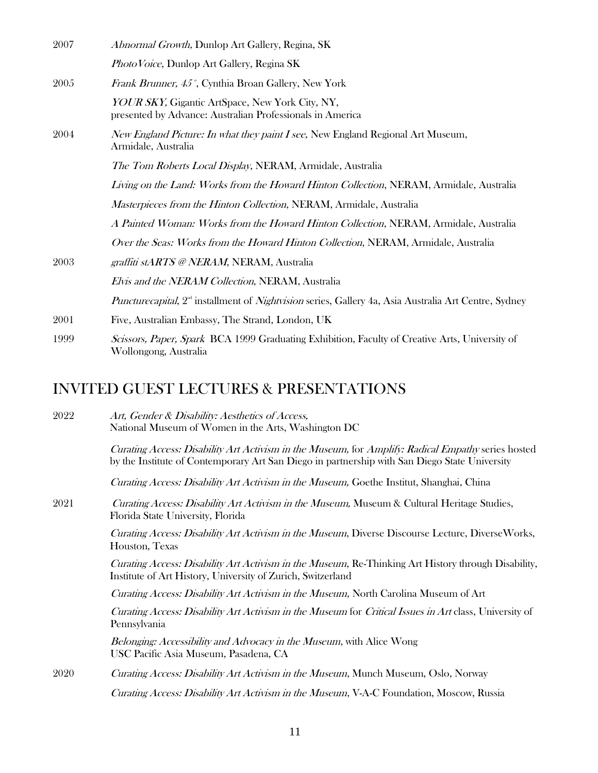| 2007<br>Abnormal Growth, Dunlop Art Gallery, Regina, SK                                                                         |
|---------------------------------------------------------------------------------------------------------------------------------|
| Photo Voice, Dunlop Art Gallery, Regina SK                                                                                      |
| 2005<br>Frank Brunner, 45°, Cynthia Broan Gallery, New York                                                                     |
| YOUR SKY, Gigantic ArtSpace, New York City, NY,<br>presented by Advance: Australian Professionals in America                    |
| 2004<br>New England Picture: In what they paint I see, New England Regional Art Museum,<br>Armidale, Australia                  |
| The Tom Roberts Local Display, NERAM, Armidale, Australia                                                                       |
| Living on the Land: Works from the Howard Hinton Collection, NERAM, Armidale, Australia                                         |
| Masterpieces from the Hinton Collection, NERAM, Armidale, Australia                                                             |
| A Painted Woman: Works from the Howard Hinton Collection, NERAM, Armidale, Australia                                            |
| Over the Seas: Works from the Howard Hinton Collection, NERAM, Armidale, Australia                                              |
| graffiti stARTS @ NERAM, NERAM, Australia<br>2003                                                                               |
| Elvis and the NERAM Collection, NERAM, Australia                                                                                |
| <i>Puncturecapital</i> , $2^{\omega}$ installment of <i>Nightvision</i> series, Gallery 4a, Asia Australia Art Centre, Sydney   |
| 2001<br>Five, Australian Embassy, The Strand, London, UK                                                                        |
| 1999<br>Scissors, Paper, Spark BCA 1999 Graduating Exhibition, Faculty of Creative Arts, University of<br>Wollongong, Australia |
| D GHEST LECTHRES & PRESENTATIONS                                                                                                |

#### INVITED GUEST LECTURES & PRESENTATIONS

2022 Art, Gender & Disability: Aesthetics of Access, National Museum of Women in the Arts, Washington DC

> Curating Access: Disability Art Activism in the Museum, for Amplify: Radical Empathy series hosted by the Institute of Contemporary Art San Diego in partnership with San Diego State University

Curating Access: Disability Art Activism in the Museum, Goethe Institut, Shanghai, China

2021 Curating Access: Disability Art Activism in the Museum, Museum & Cultural Heritage Studies, Florida State University, Florida

> Curating Access: Disability Art Activism in the Museum, Diverse Discourse Lecture, DiverseWorks, Houston, Texas

> Curating Access: Disability Art Activism in the Museum, Re-Thinking Art History through Disability, Institute of Art History, University of Zurich, Switzerland

Curating Access: Disability Art Activism in the Museum, North Carolina Museum of Art

Curating Access: Disability Art Activism in the Museum for Critical Issues in Art class, University of Pennsylvania

Belonging: Accessibility and Advocacy in the Museum, with Alice Wong USC Pacific Asia Museum, Pasadena, CA

2020 Curating Access: Disability Art Activism in the Museum, Munch Museum, Oslo, Norway

Curating Access: Disability Art Activism in the Museum, V-A-C Foundation, Moscow, Russia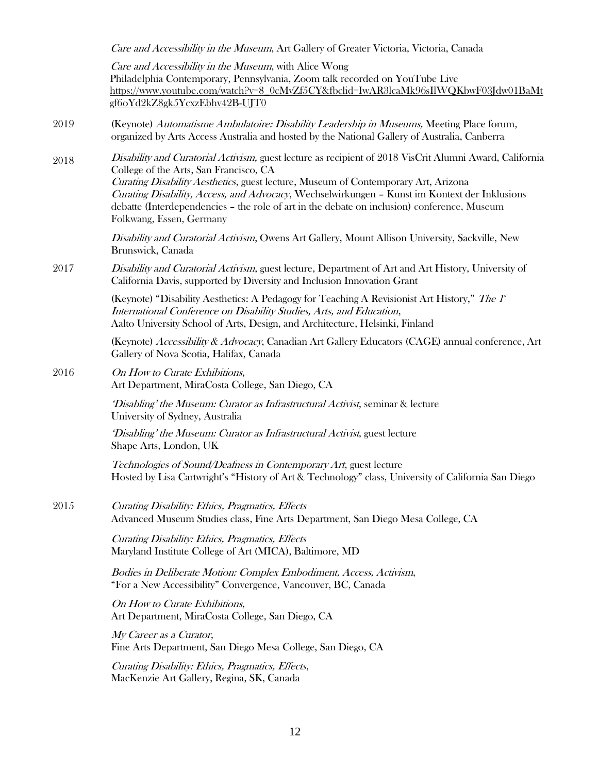|      | Care and Accessibility in the Museum, Art Gallery of Greater Victoria, Victoria, Canada                                                                                                                                                                                                                                                                                                                                                                             |
|------|---------------------------------------------------------------------------------------------------------------------------------------------------------------------------------------------------------------------------------------------------------------------------------------------------------------------------------------------------------------------------------------------------------------------------------------------------------------------|
|      | Care and Accessibility in the Museum, with Alice Wong<br>Philadelphia Contemporary, Pennsylvania, Zoom talk recorded on YouTube Live<br>https://www.youtube.com/watch?v=8_0cMvZf5CY&fbclid=IwAR3lcaMk96sIlWQKbwF03Jdw01BaMt<br>gf6oYd2kZ8gk5YcxzEbhv42B-UJT0                                                                                                                                                                                                        |
| 2019 | (Keynote) Automatisme Ambulatoire: Disability Leadership in Museums, Meeting Place forum,<br>organized by Arts Access Australia and hosted by the National Gallery of Australia, Canberra                                                                                                                                                                                                                                                                           |
| 2018 | Disability and Curatorial Activism, guest lecture as recipient of 2018 VisCrit Alumni Award, California<br>College of the Arts, San Francisco, CA<br>Curating Disability Aesthetics, guest lecture, Museum of Contemporary Art, Arizona<br>Curating Disability, Access, and Advocacy, Wechselwirkungen - Kunst im Kontext der Inklusions<br>debatte (Interdependencies - the role of art in the debate on inclusion) conference, Museum<br>Folkwang, Essen, Germany |
|      | Disability and Curatorial Activism, Owens Art Gallery, Mount Allison University, Sackville, New<br>Brunswick, Canada                                                                                                                                                                                                                                                                                                                                                |
| 2017 | Disability and Curatorial Activism, guest lecture, Department of Art and Art History, University of<br>California Davis, supported by Diversity and Inclusion Innovation Grant                                                                                                                                                                                                                                                                                      |
|      | (Keynote) "Disability Aesthetics: A Pedagogy for Teaching A Revisionist Art History," The 1<br>International Conference on Disability Studies, Arts, and Education,<br>Aalto University School of Arts, Design, and Architecture, Helsinki, Finland                                                                                                                                                                                                                 |
|      | (Keynote) Accessibility & Advocacy, Canadian Art Gallery Educators (CAGE) annual conference, Art<br>Gallery of Nova Scotia, Halifax, Canada                                                                                                                                                                                                                                                                                                                         |
| 2016 | On How to Curate Exhibitions,<br>Art Department, MiraCosta College, San Diego, CA                                                                                                                                                                                                                                                                                                                                                                                   |
|      | Disabling' the Museum: Curator as Infrastructural Activist, seminar & lecture<br>University of Sydney, Australia                                                                                                                                                                                                                                                                                                                                                    |
|      | 'Disabling' the Museum: Curator as Infrastructural Activist, guest lecture<br>Shape Arts, London, UK                                                                                                                                                                                                                                                                                                                                                                |
|      | Technologies of Sound/Deafness in Contemporary Art, guest lecture<br>Hosted by Lisa Cartwright's "History of Art & Technology" class, University of California San Diego                                                                                                                                                                                                                                                                                            |
| 2015 | Curating Disability: Ethics, Pragmatics, Effects<br>Advanced Museum Studies class, Fine Arts Department, San Diego Mesa College, CA                                                                                                                                                                                                                                                                                                                                 |
|      | Curating Disability: Ethics, Pragmatics, Effects<br>Maryland Institute College of Art (MICA), Baltimore, MD                                                                                                                                                                                                                                                                                                                                                         |
|      | Bodies in Deliberate Motion: Complex Embodiment, Access, Activism,<br>"For a New Accessibility" Convergence, Vancouver, BC, Canada                                                                                                                                                                                                                                                                                                                                  |
|      | On How to Curate Exhibitions,<br>Art Department, MiraCosta College, San Diego, CA                                                                                                                                                                                                                                                                                                                                                                                   |
|      | My Career as a Curator,<br>Fine Arts Department, San Diego Mesa College, San Diego, CA                                                                                                                                                                                                                                                                                                                                                                              |
|      | Curating Disability: Ethics, Pragmatics, Effects,<br>MacKenzie Art Gallery, Regina, SK, Canada                                                                                                                                                                                                                                                                                                                                                                      |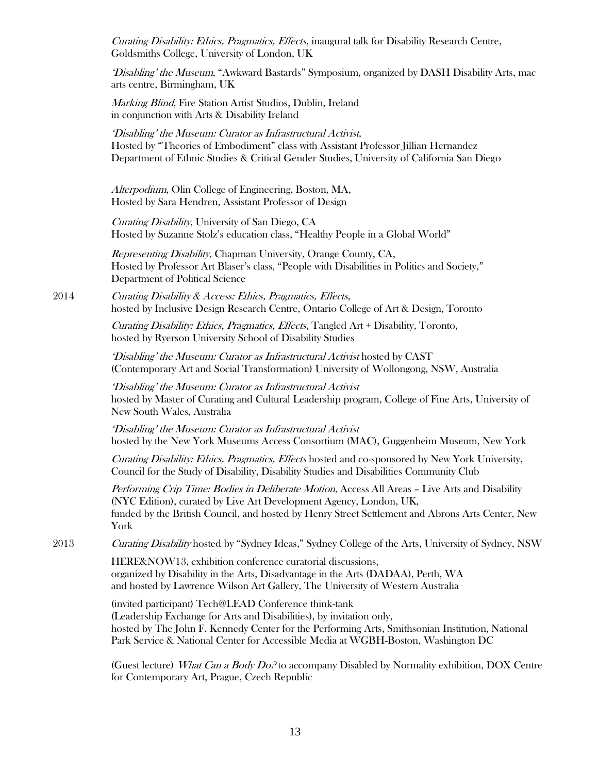Curating Disability: Ethics, Pragmatics, Effects, inaugural talk for Disability Research Centre, Goldsmiths College, University of London, UK

'Disabling' the Museum, "Awkward Bastards" Symposium, organized by DASH Disability Arts, mac arts centre, Birmingham, UK

Marking Blind, Fire Station Artist Studios, Dublin, Ireland in conjunction with Arts & Disability Ireland

'Disabling' the Museum: Curator as Infrastructural Activist, Hosted by "Theories of Embodiment" class with Assistant Professor Jillian Hernandez Department of Ethnic Studies & Critical Gender Studies, University of California San Diego

Alterpodium, Olin College of Engineering, Boston, MA, Hosted by Sara Hendren, Assistant Professor of Design

Curating Disability, University of San Diego, CA Hosted by Suzanne Stolz's education class, "Healthy People in a Global World"

Representing Disability, Chapman University, Orange County, CA, Hosted by Professor Art Blaser's class, "People with Disabilities in Politics and Society," Department of Political Science

2014 Curating Disability & Access: Ethics, Pragmatics, Effects, hosted by Inclusive Design Research Centre, Ontario College of Art & Design, Toronto

> Curating Disability: Ethics, Pragmatics, Effects, Tangled Art + Disability, Toronto, hosted by Ryerson University School of Disability Studies

'Disabling' the Museum: Curator as Infrastructural Activist hosted by CAST (Contemporary Art and Social Transformation) University of Wollongong, NSW, Australia

'Disabling' the Museum: Curator as Infrastructural Activist hosted by Master of Curating and Cultural Leadership program, College of Fine Arts, University of New South Wales, Australia

'Disabling' the Museum: Curator as Infrastructural Activist hosted by the New York Museums Access Consortium (MAC), Guggenheim Museum, New York

Curating Disability: Ethics, Pragmatics, Effects hosted and co-sponsored by New York University, Council for the Study of Disability, Disability Studies and Disabilities Community Club

Performing Crip Time: Bodies in Deliberate Motion, Access All Areas - Live Arts and Disability (NYC Edition), curated by Live Art Development Agency, London, UK, funded by the British Council, and hosted by Henry Street Settlement and Abrons Arts Center, New York

2013 Curating Disability hosted by "Sydney Ideas," Sydney College of the Arts, University of Sydney, NSW

HERE&NOW13, exhibition conference curatorial discussions, organized by Disability in the Arts, Disadvantage in the Arts (DADAA), Perth, WA and hosted by Lawrence Wilson Art Gallery, The University of Western Australia

(invited participant) Tech@LEAD Conference think-tank (Leadership Exchange for Arts and Disabilities), by invitation only, hosted by The John F. Kennedy Center for the Performing Arts, Smithsonian Institution, National Park Service & National Center for Accessible Media at WGBH-Boston, Washington DC

(Guest lecture) What Can a Body  $Do<sup>2</sup>$  to accompany Disabled by Normality exhibition, DOX Centre for Contemporary Art, Prague, Czech Republic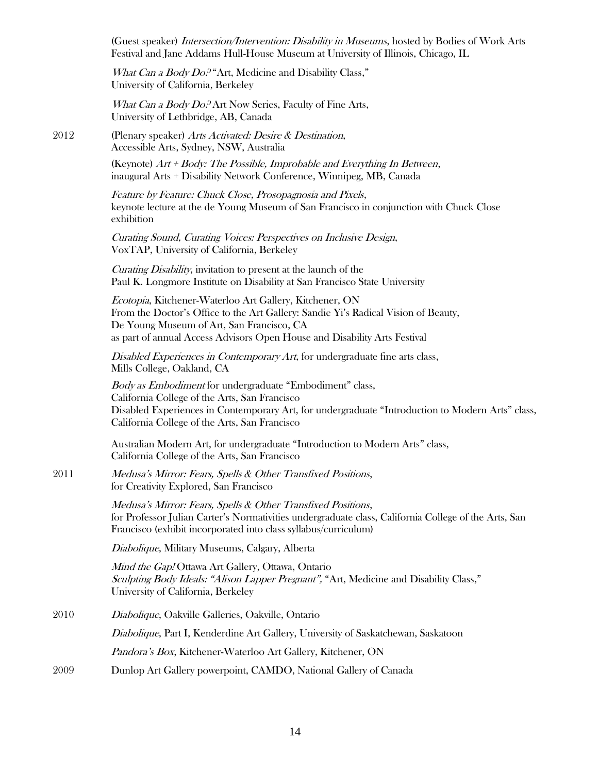(Guest speaker) Intersection/Intervention: Disability in Museums, hosted by Bodies of Work Arts Festival and Jane Addams Hull-House Museum at University of Illinois, Chicago, IL

What Can a Body Do.<sup>2</sup> "Art, Medicine and Disability Class," University of California, Berkeley

What Can a Body Do.<sup>2</sup> Art Now Series, Faculty of Fine Arts, University of Lethbridge, AB, Canada

2012 (Plenary speaker) Arts Activated: Desire & Destination, Accessible Arts, Sydney, NSW, Australia

> (Keynote)  $Art + Body$ : The Possible, Improbable and Everything In Between, inaugural Arts + Disability Network Conference, Winnipeg, MB, Canada

Feature by Feature: Chuck Close, Prosopagnosia and Pixels, keynote lecture at the de Young Museum of San Francisco in conjunction with Chuck Close exhibition

Curating Sound, Curating Voices: Perspectives on Inclusive Design, VoxTAP, University of California, Berkeley

Curating Disability, invitation to present at the launch of the Paul K. Longmore Institute on Disability at San Francisco State University

Ecotopia, Kitchener-Waterloo Art Gallery, Kitchener, ON From the Doctor's Office to the Art Gallery: Sandie Yi's Radical Vision of Beauty, De Young Museum of Art, San Francisco, CA as part of annual Access Advisors Open House and Disability Arts Festival

Disabled Experiences in Contemporary Art, for undergraduate fine arts class, Mills College, Oakland, CA

Body as Embodiment for undergraduate "Embodiment" class, California College of the Arts, San Francisco Disabled Experiences in Contemporary Art, for undergraduate "Introduction to Modern Arts" class, California College of the Arts, San Francisco

Australian Modern Art, for undergraduate "Introduction to Modern Arts" class, California College of the Arts, San Francisco

2011 Medusa's Mirror: Fears, Spells & Other Transfixed Positions, for Creativity Explored, San Francisco

> Medusa's Mirror: Fears, Spells & Other Transfixed Positions, for Professor Julian Carter's Normativities undergraduate class, California College of the Arts, San Francisco (exhibit incorporated into class syllabus/curriculum)

Diabolique, Military Museums, Calgary, Alberta

Mind the Gap! Ottawa Art Gallery, Ottawa, Ontario Sculpting Body Ideals: "Alison Lapper Pregnant", "Art, Medicine and Disability Class," University of California, Berkeley

2010 Diabolique, Oakville Galleries, Oakville, Ontario

Diabolique, Part I, Kenderdine Art Gallery, University of Saskatchewan, Saskatoon

Pandora's Box, Kitchener-Waterloo Art Gallery, Kitchener, ON

2009 Dunlop Art Gallery powerpoint, CAMDO, National Gallery of Canada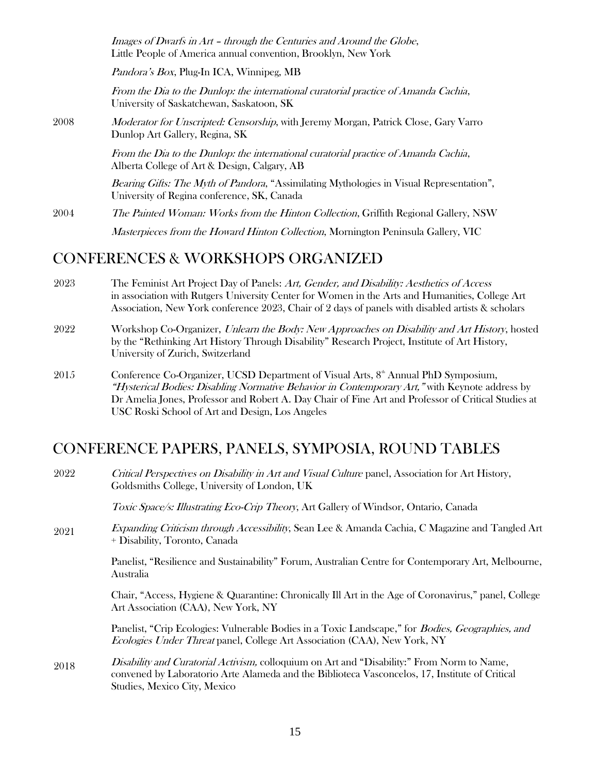Images of Dwarfs in Art – through the Centuries and Around the Globe, Little People of America annual convention, Brooklyn, New York

Pandora's Box, Plug-In ICA, Winnipeg, MB

From the Dia to the Dunlop: the international curatorial practice of Amanda Cachia, University of Saskatchewan, Saskatoon, SK

2008 Moderator for Unscripted: Censorship, with Jeremy Morgan, Patrick Close, Gary Varro Dunlop Art Gallery, Regina, SK

> From the Dia to the Dunlop: the international curatorial practice of Amanda Cachia, Alberta College of Art & Design, Calgary, AB

Bearing Gifts: The Myth of Pandora, "Assimilating Mythologies in Visual Representation", University of Regina conference, SK, Canada

2004 The Painted Woman: Works from the Hinton Collection, Griffith Regional Gallery, NSW Masterpieces from the Howard Hinton Collection, Mornington Peninsula Gallery, VIC

#### CONFERENCES & WORKSHOPS ORGANIZED

- 2023 The Feminist Art Project Day of Panels: Art, Gender, and Disability: Aesthetics of Access in association with Rutgers University Center for Women in the Arts and Humanities, College Art Association, New York conference 2023, Chair of 2 days of panels with disabled artists & scholars
- 2022 Workshop Co-Organizer, Unlearn the Body: New Approaches on Disability and Art History, hosted by the "Rethinking Art History Through Disability" Research Project, Institute of Art History, University of Zurich, Switzerland
- 2015 Conference Co-Organizer, UCSD Department of Visual Arts, 8<sup>th</sup> Annual PhD Symposium, "Hysterical Bodies: Disabling Normative Behavior in Contemporary Art," with Keynote address by Dr Amelia Jones, Professor and Robert A. Day Chair of Fine Art and Professor of Critical Studies at USC Roski School of Art and Design, Los Angeles

#### CONFERENCE PAPERS, PANELS, SYMPOSIA, ROUND TABLES

2022 Critical Perspectives on Disability in Art and Visual Culture panel, Association for Art History, Goldsmiths College, University of London, UK

Toxic Space/s: Illustrating Eco-Crip Theory, Art Gallery of Windsor, Ontario, Canada

2021 Expanding Criticism through Accessibility, Sean Lee & Amanda Cachia, C Magazine and Tangled Art + Disability, Toronto, Canada

> Panelist, "Resilience and Sustainability" Forum, Australian Centre for Contemporary Art, Melbourne, Australia

> Chair, "Access, Hygiene & Quarantine: Chronically Ill Art in the Age of Coronavirus," panel, College Art Association (CAA), New York, NY

Panelist, "Crip Ecologies: Vulnerable Bodies in a Toxic Landscape," for Bodies, Geographies, and Ecologies Under Threat panel, College Art Association (CAA), New York, NY

2018 Disability and Curatorial Activism, colloquium on Art and "Disability:" From Norm to Name, convened by Laboratorio Arte Alameda and the Biblioteca Vasconcelos, 17, Institute of Critical Studies, Mexico City, Mexico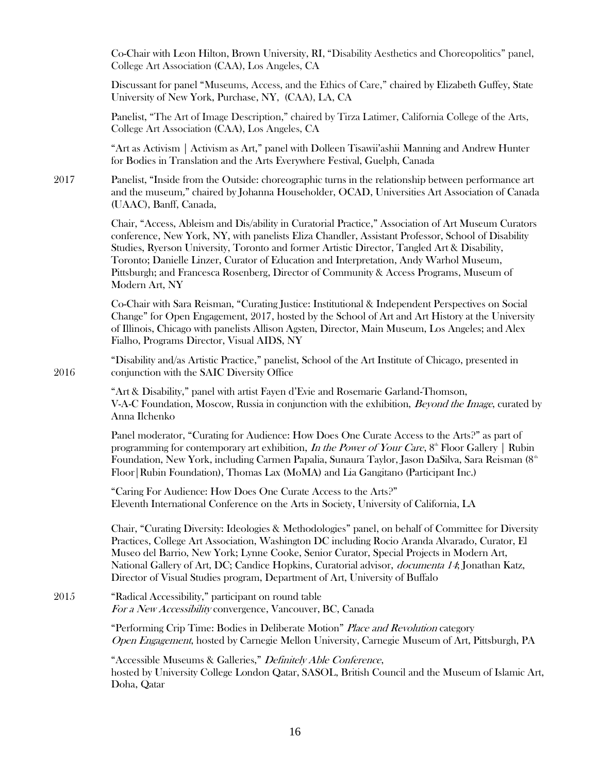|      | Co-Chair with Leon Hilton, Brown University, RI, "Disability Aesthetics and Choreopolitics" panel,<br>College Art Association (CAA), Los Angeles, CA                                                                                                                                                                                                                                                                                                                                                             |
|------|------------------------------------------------------------------------------------------------------------------------------------------------------------------------------------------------------------------------------------------------------------------------------------------------------------------------------------------------------------------------------------------------------------------------------------------------------------------------------------------------------------------|
|      | Discussant for panel "Museums, Access, and the Ethics of Care," chaired by Elizabeth Guffey, State<br>University of New York, Purchase, NY, (CAA), LA, CA                                                                                                                                                                                                                                                                                                                                                        |
|      | Panelist, "The Art of Image Description," chaired by Tirza Latimer, California College of the Arts,<br>College Art Association (CAA), Los Angeles, CA                                                                                                                                                                                                                                                                                                                                                            |
|      | "Art as Activism   Activism as Art," panel with Dolleen Tisawii'ashii Manning and Andrew Hunter<br>for Bodies in Translation and the Arts Everywhere Festival, Guelph, Canada                                                                                                                                                                                                                                                                                                                                    |
| 2017 | Panelist, "Inside from the Outside: choreographic turns in the relationship between performance art<br>and the museum," chaired by Johanna Householder, OCAD, Universities Art Association of Canada<br>(UAAC), Banff, Canada,                                                                                                                                                                                                                                                                                   |
|      | Chair, "Access, Ableism and Dis/ability in Curatorial Practice," Association of Art Museum Curators<br>conference, New York, NY, with panelists Eliza Chandler, Assistant Professor, School of Disability<br>Studies, Ryerson University, Toronto and former Artistic Director, Tangled Art & Disability,<br>Toronto; Danielle Linzer, Curator of Education and Interpretation, Andy Warhol Museum,<br>Pittsburgh; and Francesca Rosenberg, Director of Community & Access Programs, Museum of<br>Modern Art, NY |
|      | Co-Chair with Sara Reisman, "Curating Justice: Institutional & Independent Perspectives on Social<br>Change" for Open Engagement, 2017, hosted by the School of Art and Art History at the University<br>of Illinois, Chicago with panelists Allison Agsten, Director, Main Museum, Los Angeles; and Alex<br>Fialho, Programs Director, Visual AIDS, NY                                                                                                                                                          |
| 2016 | "Disability and/as Artistic Practice," panelist, School of the Art Institute of Chicago, presented in<br>conjunction with the SAIC Diversity Office                                                                                                                                                                                                                                                                                                                                                              |
|      | "Art & Disability," panel with artist Fayen d'Evie and Rosemarie Garland-Thomson,<br>V-A-C Foundation, Moscow, Russia in conjunction with the exhibition, <i>Beyond the Image</i> , curated by<br>Anna Ilchenko                                                                                                                                                                                                                                                                                                  |
|      | Panel moderator, "Curating for Audience: How Does One Curate Access to the Arts?" as part of<br>programming for contemporary art exhibition, In the Power of Your Care, 8 <sup>th</sup> Floor Gallery   Rubin<br>Foundation, New York, including Carmen Papalia, Sunaura Taylor, Jason DaSilva, Sara Reisman (8 <sup>th</sup><br>Floor Rubin Foundation), Thomas Lax (MoMA) and Lia Gangitano (Participant Inc.)                                                                                                 |
|      | "Caring For Audience: How Does One Curate Access to the Arts?"<br>Eleventh International Conference on the Arts in Society, University of California, LA                                                                                                                                                                                                                                                                                                                                                         |
|      | Chair, "Curating Diversity: Ideologies & Methodologies" panel, on behalf of Committee for Diversity<br>Practices, College Art Association, Washington DC including Rocio Aranda Alvarado, Curator, El<br>Museo del Barrio, New York; Lynne Cooke, Senior Curator, Special Projects in Modern Art,<br>National Gallery of Art, DC; Candice Hopkins, Curatorial advisor, <i>documenta 14</i> ; Jonathan Katz,<br>Director of Visual Studies program, Department of Art, University of Buffalo                      |
| 2015 | "Radical Accessibility," participant on round table<br>For a New Accessibility convergence, Vancouver, BC, Canada                                                                                                                                                                                                                                                                                                                                                                                                |
|      | "Performing Crip Time: Bodies in Deliberate Motion" Place and Revolution category<br>Open Engagement, hosted by Carnegie Mellon University, Carnegie Museum of Art, Pittsburgh, PA                                                                                                                                                                                                                                                                                                                               |
|      | "Accessible Museums & Galleries," Definitely Able Conference,<br>hosted by University College London Qatar, SASOL, British Council and the Museum of Islamic Art,<br>Doha, Qatar                                                                                                                                                                                                                                                                                                                                 |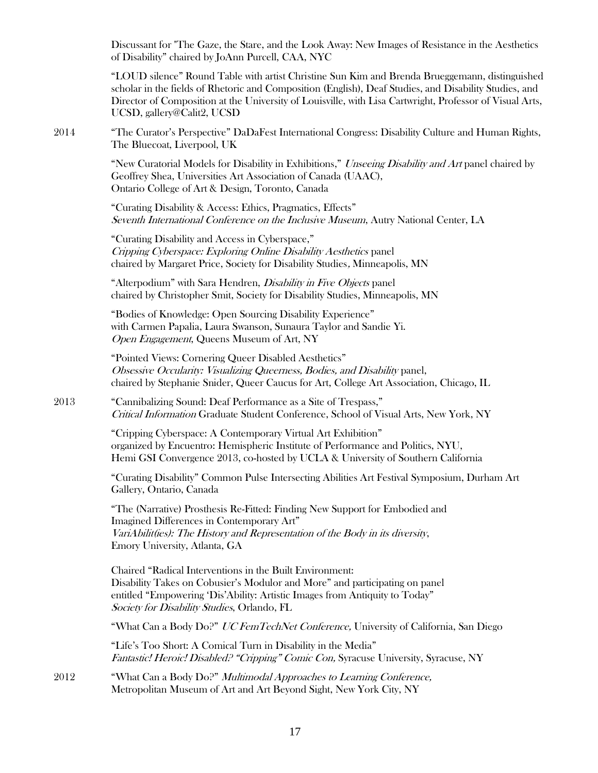Discussant for "The Gaze, the Stare, and the Look Away: New Images of Resistance in the Aesthetics of Disability" chaired by JoAnn Purcell, CAA, NYC

"LOUD silence" Round Table with artist Christine Sun Kim and Brenda Brueggemann, distinguished scholar in the fields of Rhetoric and Composition (English), Deaf Studies, and Disability Studies, and Director of Composition at the University of Louisville, with Lisa Cartwright, Professor of Visual Arts, UCSD, gallery@Calit2, UCSD

2014 "The Curator's Perspective" DaDaFest International Congress: Disability Culture and Human Rights, The Bluecoat, Liverpool, UK

> "New Curatorial Models for Disability in Exhibitions," *Unseeing Disability and Art* panel chaired by Geoffrey Shea, Universities Art Association of Canada (UAAC), Ontario College of Art & Design, Toronto, Canada

"Curating Disability & Access: Ethics, Pragmatics, Effects" Seventh International Conference on the Inclusive Museum, Autry National Center, LA

"Curating Disability and Access in Cyberspace," Cripping Cyberspace: Exploring Online Disability Aesthetics panel chaired by Margaret Price, Society for Disability Studies, Minneapolis, MN

"Alterpodium" with Sara Hendren, *Disability in Five Objects* panel chaired by Christopher Smit, Society for Disability Studies, Minneapolis, MN

"Bodies of Knowledge: Open Sourcing Disability Experience" with Carmen Papalia, Laura Swanson, Sunaura Taylor and Sandie Yi. Open Engagement, Queens Museum of Art, NY

"Pointed Views: Cornering Queer Disabled Aesthetics" Obsessive Occularity: Visualizing Queerness, Bodies, and Disability panel, chaired by Stephanie Snider, Queer Caucus for Art, College Art Association, Chicago, IL

2013 "Cannibalizing Sound: Deaf Performance as a Site of Trespass," Critical Information Graduate Student Conference, School of Visual Arts, New York, NY

> "Cripping Cyberspace: A Contemporary Virtual Art Exhibition" organized by Encuentro: Hemispheric Institute of Performance and Politics, NYU, Hemi GSI Convergence 2013, co-hosted by UCLA & University of Southern California

"Curating Disability" Common Pulse Intersecting Abilities Art Festival Symposium, Durham Art Gallery, Ontario, Canada

"The (Narrative) Prosthesis Re-Fitted: Finding New Support for Embodied and Imagined Differences in Contemporary Art" VariAbilit(ies): The History and Representation of the Body in its diversity, Emory University, Atlanta, GA

Chaired "Radical Interventions in the Built Environment: Disability Takes on Cobusier's Modulor and More" and participating on panel entitled "Empowering 'Dis'Ability: Artistic Images from Antiquity to Today" Society for Disability Studies, Orlando, FL

"What Can a Body Do?" UC FemTechNet Conference, University of California, San Diego

"Life's Too Short: A Comical Turn in Disability in the Media" Fantastic! Heroic! Disabled? "Cripping" Comic Con, Syracuse University, Syracuse, NY

2012 "What Can a Body Do?" *Multimodal Approaches to Learning Conference*, Metropolitan Museum of Art and Art Beyond Sight, New York City, NY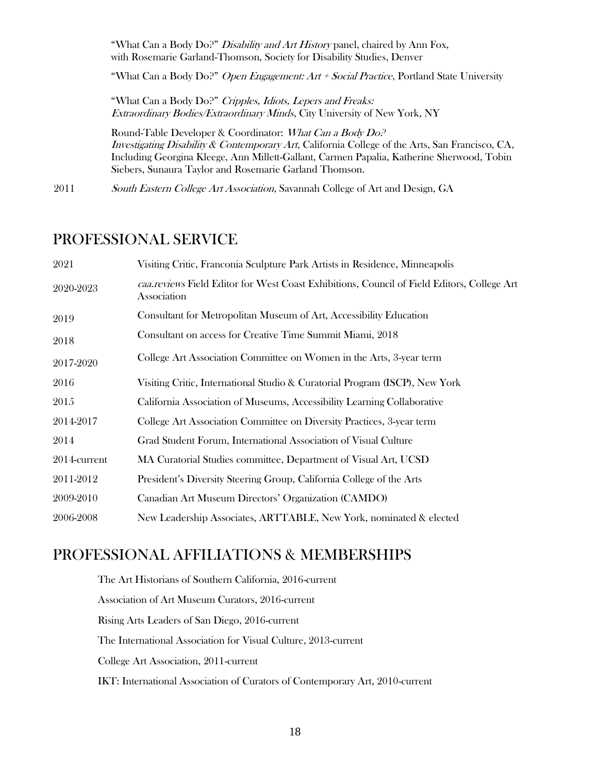"What Can a Body Do?" Disability and Art History panel, chaired by Ann Fox, with Rosemarie Garland-Thomson, Society for Disability Studies, Denver "What Can a Body Do?" Open Engagement: Art + Social Practice, Portland State University "What Can a Body Do?" Cripples, Idiots, Lepers and Freaks: Extraordinary Bodies/Extraordinary Minds, City University of New York, NY Round-Table Developer & Coordinator: What Can a Body Do? Investigating Disability & Contemporary Art, California College of the Arts, San Francisco, CA,

Including Georgina Kleege, Ann Millett-Gallant, Carmen Papalia, Katherine Sherwood, Tobin Siebers, Sunaura Taylor and Rosemarie Garland Thomson.

2011 South Eastern College Art Association, Savannah College of Art and Design, GA

### PROFESSIONAL SERVICE

| 2021         | Visiting Critic, Franconia Sculpture Park Artists in Residence, Minneapolis                               |
|--------------|-----------------------------------------------------------------------------------------------------------|
| 2020-2023    | caa.reviews Field Editor for West Coast Exhibitions, Council of Field Editors, College Art<br>Association |
| 2019         | Consultant for Metropolitan Museum of Art, Accessibility Education                                        |
| 2018         | Consultant on access for Creative Time Summit Miami, 2018                                                 |
| 2017-2020    | College Art Association Committee on Women in the Arts, 3-year term                                       |
| 2016         | Visiting Critic, International Studio & Curatorial Program (ISCP), New York                               |
| 2015         | California Association of Museums, Accessibility Learning Collaborative                                   |
| 2014-2017    | College Art Association Committee on Diversity Practices, 3-year term                                     |
| 2014         | Grad Student Forum, International Association of Visual Culture                                           |
| 2014-current | MA Curatorial Studies committee, Department of Visual Art, UCSD                                           |
| 2011-2012    | President's Diversity Steering Group, California College of the Arts                                      |
| 2009-2010    | Canadian Art Museum Directors' Organization (CAMDO)                                                       |
| 2006-2008    | New Leadership Associates, ARTTABLE, New York, nominated & elected                                        |

### PROFESSIONAL AFFILIATIONS & MEMBERSHIPS

The Art Historians of Southern California, 2016-current Association of Art Museum Curators, 2016-current Rising Arts Leaders of San Diego, 2016-current The International Association for Visual Culture, 2013-current College Art Association, 2011-current IKT: International Association of Curators of Contemporary Art, 2010-current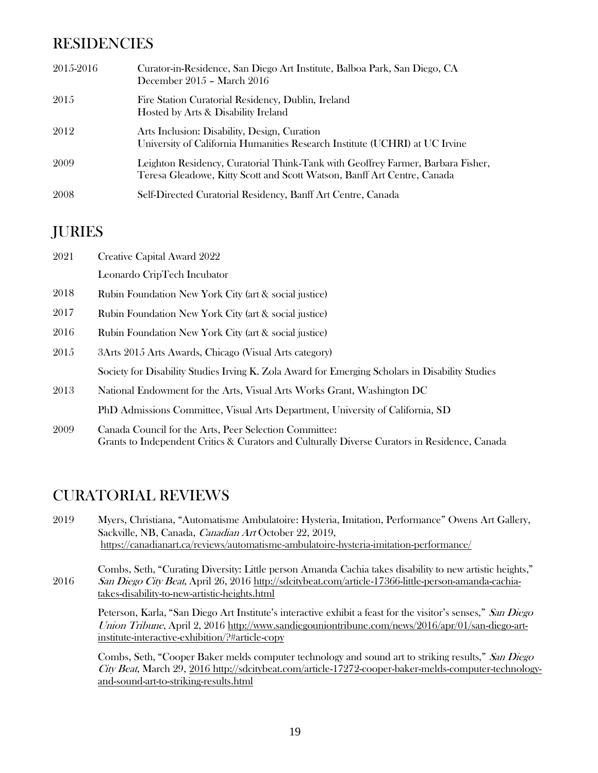## RESIDENCIES

| 2015-2016 | Curator-in-Residence, San Diego Art Institute, Balboa Park, San Diego, CA<br>December 2015 - March 2016                                                    |
|-----------|------------------------------------------------------------------------------------------------------------------------------------------------------------|
| 2015      | Fire Station Curatorial Residency, Dublin, Ireland<br>Hosted by Arts & Disability Ireland                                                                  |
| 2012      | Arts Inclusion: Disability, Design, Curation<br>University of California Humanities Research Institute (UCHRI) at UC Irvine                                |
| 2009      | Leighton Residency, Curatorial Think-Tank with Geoffrey Farmer, Barbara Fisher,<br>Teresa Gleadowe, Kitty Scott and Scott Watson, Banff Art Centre, Canada |
| 2008      | Self-Directed Curatorial Residency, Banff Art Centre, Canada                                                                                               |

### JURIES

| 2021 | Creative Capital Award 2022                                                                     |
|------|-------------------------------------------------------------------------------------------------|
|      | Leonardo CripTech Incubator                                                                     |
| 2018 | Rubin Foundation New York City (art & social justice)                                           |
| 2017 | Rubin Foundation New York City (art & social justice)                                           |
| 2016 | Rubin Foundation New York City (art & social justice)                                           |
| 2015 | 3Arts 2015 Arts Awards, Chicago (Visual Arts category)                                          |
|      | Society for Disability Studies Irving K. Zola Award for Emerging Scholars in Disability Studies |
| 2013 | National Endowment for the Arts, Visual Arts Works Grant, Washington DC                         |
|      | PhD Admissions Committee, Visual Arts Department, University of California, SD                  |
| 9009 | Canada Council for the Arts Peer Selection Committee                                            |

2009 ada Council for the Arts, Peer Selection Committee: Grants to Independent Critics & Curators and Culturally Diverse Curators in Residence, Canada

### CURATORIAL REVIEWS

- 2019 Myers, Christiana, "Automatisme Ambulatoire: Hysteria, Imitation, Performance" Owens Art Gallery, Sackville, NB, Canada, Canadian Art October 22, 2019, <https://canadianart.ca/reviews/automatisme-ambulatoire-hysteria-imitation-performance/>
- 2016 Combs, Seth, "Curating Diversity: Little person Amanda Cachia takes disability to new artistic heights," San Diego City Beat, April 26, 2016 [http://sdcitybeat.com/article-17366-little-person-amanda-cachia](http://sdcitybeat.com/article-17366-little-person-amanda-cachia-takes-disability-to-new-artistic-heights.html)[takes-disability-to-new-artistic-heights.html](http://sdcitybeat.com/article-17366-little-person-amanda-cachia-takes-disability-to-new-artistic-heights.html)

Peterson, Karla, "San Diego Art Institute's interactive exhibit a feast for the visitor's senses," San Diego Union Tribune, April 2, 2016 [http://www.sandiegouniontribune.com/news/2016/apr/01/san-diego-art](http://www.sandiegouniontribune.com/news/2016/apr/01/san-diego-art-institute-interactive-exhibition/?#article-copy)[institute-interactive-exhibition/?#article-copy](http://www.sandiegouniontribune.com/news/2016/apr/01/san-diego-art-institute-interactive-exhibition/?#article-copy)

Combs, Seth, "Cooper Baker melds computer technology and sound art to striking results," San Diego City Beat, March 29, 201[6 http://sdcitybeat.com/article-17272-cooper-baker-melds-computer-technology](http://sdcitybeat.com/article-17272-cooper-baker-melds-computer-technology-and-sound-art-to-striking-results.html)[and-sound-art-to-striking-results.html](http://sdcitybeat.com/article-17272-cooper-baker-melds-computer-technology-and-sound-art-to-striking-results.html)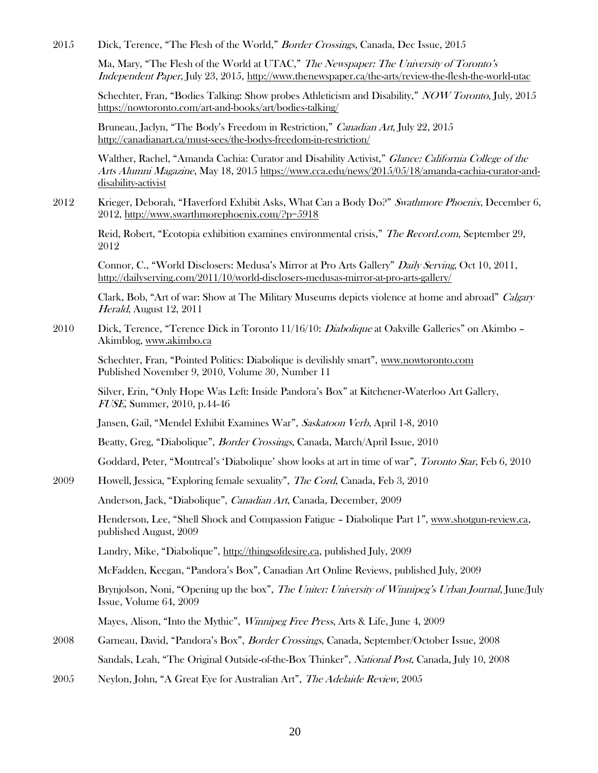2015 Dick, Terence, "The Flesh of the World," Border Crossings, Canada, Dec Issue, 2015

Ma, Mary, "The Flesh of the World at UTAC," The Newspaper: The University of Toronto's Independent Paper, July 23, 2015[, http://www.thenewspaper.ca/the-arts/review-the-flesh-the-world-utac](http://www.thenewspaper.ca/the-arts/review-the-flesh-the-world-utac)

Schechter, Fran, "Bodies Talking: Show probes Athleticism and Disability," NOW Toronto, July, 2015 <https://nowtoronto.com/art-and-books/art/bodies-talking/>

Bruneau, Jaclyn, "The Body's Freedom in Restriction," Canadian Art, July 22, 2015 <http://canadianart.ca/must-sees/the-bodys-freedom-in-restriction/>

Walther, Rachel, "Amanda Cachia: Curator and Disability Activist," *Glance: California College of the* Arts Alumni Magazine, May 18, 2015 [https://www.cca.edu/news/2015/05/18/amanda-cachia-curator-and](https://www.cca.edu/news/2015/05/18/amanda-cachia-curator-and-disability-activist)[disability-activist](https://www.cca.edu/news/2015/05/18/amanda-cachia-curator-and-disability-activist)

2012 Krieger, Deborah, "Haverford Exhibit Asks, What Can a Body Do?" Swathmore Phoenix, December 6, 2012,<http://www.swarthmorephoenix.com/?p=5918>

Reid, Robert, "Ecotopia exhibition examines environmental crisis," The Record.com, September 29, 2012

Connor, C., "World Disclosers: Medusa's Mirror at Pro Arts Gallery" Daily Serving, Oct 10, 2011, <http://dailyserving.com/2011/10/world-disclosers-medusas-mirror-at-pro-arts-gallery/>

Clark, Bob, "Art of war: Show at The Military Museums depicts violence at home and abroad" Calgary Herald, August 12, 2011

2010 Dick, Terence, "Terence Dick in Toronto 11/16/10: *Diabolique* at Oakville Galleries" on Akimbo – Akimblog[, www.akimbo.ca](http://www.akimbo.ca/)

Schechter, Fran, "Pointed Politics: Diabolique is devilishly smart", [www.nowtoronto.com](http://www.nowtoronto.com/) Published November 9, 2010, Volume 30, Number 11

Silver, Erin, "Only Hope Was Left: Inside Pandora's Box" at Kitchener-Waterloo Art Gallery, FUSE, Summer, 2010, p.44-46

Jansen, Gail, "Mendel Exhibit Examines War", Saskatoon Verb, April 1-8, 2010

Beatty, Greg, "Diabolique", Border Crossings, Canada, March/April Issue, 2010

Goddard, Peter, "Montreal's 'Diabolique' show looks at art in time of war", Toronto Star, Feb 6, 2010

2009 Howell, Jessica, "Exploring female sexuality", The Cord, Canada, Feb 3, 2010

Anderson, Jack, "Diabolique", Canadian Art, Canada, December, 2009

Henderson, Lee, "Shell Shock and Compassion Fatigue – Diabolique Part 1", [www.shotgun-review.ca,](http://www.shotgun-review.ca/) published August, 2009

Landry, Mike, "Diabolique", [http://thingsofdesire.ca,](http://thingsofdesire.ca/) published July, 2009

McFadden, Keegan, "Pandora's Box", Canadian Art Online Reviews, published July, 2009

Brynjolson, Noni, "Opening up the box", The Uniter: University of Winnipeg's Urban Journal, June/July Issue, Volume 64, 2009

Mayes, Alison, "Into the Mythic", *Winnipeg Free Press*, Arts & Life, June 4, 2009

- 2008 Garneau, David, "Pandora's Box", Border Crossings, Canada, September/October Issue, 2008 Sandals, Leah, "The Original Outside-of-the-Box Thinker", National Post, Canada, July 10, 2008
- 2005 Neylon, John, "A Great Eye for Australian Art", The Adelaide Review, 2005